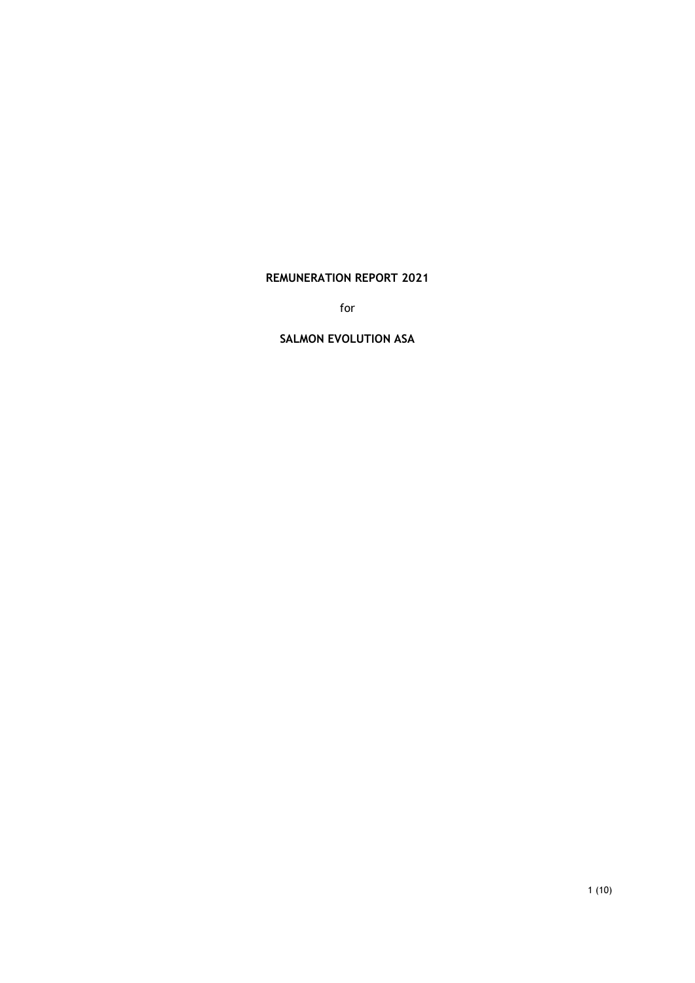# **REMUNERATION REPORT 2021**

for

#### **SALMON EVOLUTION ASA**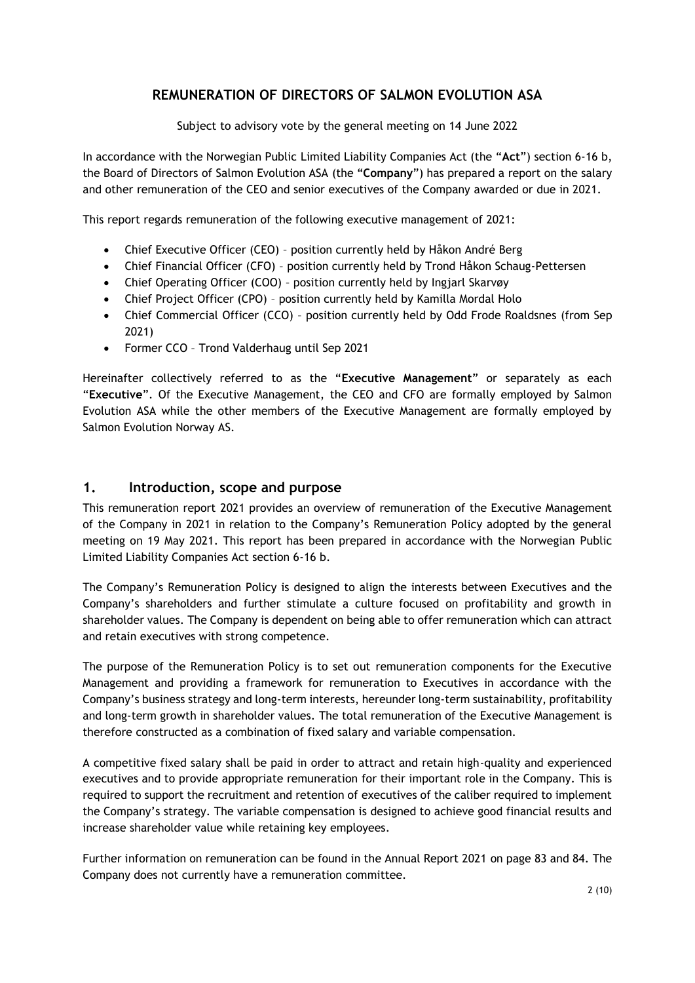# **REMUNERATION OF DIRECTORS OF SALMON EVOLUTION ASA**

Subject to advisory vote by the general meeting on 14 June 2022

In accordance with the Norwegian Public Limited Liability Companies Act (the "**Act**") section 6-16 b, the Board of Directors of Salmon Evolution ASA (the "**Company**") has prepared a report on the salary and other remuneration of the CEO and senior executives of the Company awarded or due in 2021.

This report regards remuneration of the following executive management of 2021:

- Chief Executive Officer (CEO) position currently held by Håkon André Berg
- Chief Financial Officer (CFO) position currently held by Trond Håkon Schaug-Pettersen
- Chief Operating Officer (COO) position currently held by Ingjarl Skarvøy
- Chief Project Officer (CPO) position currently held by Kamilla Mordal Holo
- Chief Commercial Officer (CCO) position currently held by Odd Frode Roaldsnes (from Sep 2021)
- Former CCO Trond Valderhaug until Sep 2021

Hereinafter collectively referred to as the "**Executive Management**" or separately as each "**Executive**". Of the Executive Management, the CEO and CFO are formally employed by Salmon Evolution ASA while the other members of the Executive Management are formally employed by Salmon Evolution Norway AS.

## **1. Introduction, scope and purpose**

This remuneration report 2021 provides an overview of remuneration of the Executive Management of the Company in 2021 in relation to the Company's Remuneration Policy adopted by the general meeting on 19 May 2021. This report has been prepared in accordance with the Norwegian Public Limited Liability Companies Act section 6-16 b.

The Company's Remuneration Policy is designed to align the interests between Executives and the Company's shareholders and further stimulate a culture focused on profitability and growth in shareholder values. The Company is dependent on being able to offer remuneration which can attract and retain executives with strong competence.

The purpose of the Remuneration Policy is to set out remuneration components for the Executive Management and providing a framework for remuneration to Executives in accordance with the Company's business strategy and long-term interests, hereunder long-term sustainability, profitability and long-term growth in shareholder values. The total remuneration of the Executive Management is therefore constructed as a combination of fixed salary and variable compensation.

A competitive fixed salary shall be paid in order to attract and retain high-quality and experienced executives and to provide appropriate remuneration for their important role in the Company. This is required to support the recruitment and retention of executives of the caliber required to implement the Company's strategy. The variable compensation is designed to achieve good financial results and increase shareholder value while retaining key employees.

Further information on remuneration can be found in the Annual Report 2021 on page 83 and 84. The Company does not currently have a remuneration committee.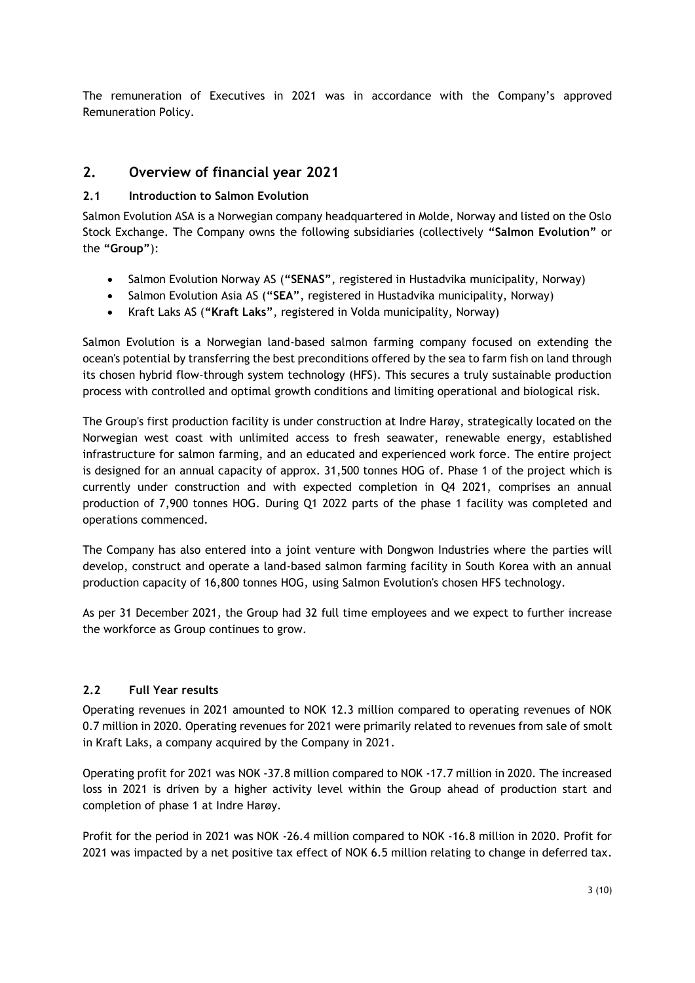The remuneration of Executives in 2021 was in accordance with the Company's approved Remuneration Policy.

# **2. Overview of financial year 2021**

# **2.1 Introduction to Salmon Evolution**

Salmon Evolution ASA is a Norwegian company headquartered in Molde, Norway and listed on the Oslo Stock Exchange. The Company owns the following subsidiaries (collectively **"Salmon Evolution"** or the **"Group"**):

- Salmon Evolution Norway AS (**"SENAS"**, registered in Hustadvika municipality, Norway)
- Salmon Evolution Asia AS (**"SEA"**, registered in Hustadvika municipality, Norway)
- Kraft Laks AS (**"Kraft Laks"**, registered in Volda municipality, Norway)

Salmon Evolution is a Norwegian land-based salmon farming company focused on extending the ocean's potential by transferring the best preconditions offered by the sea to farm fish on land through its chosen hybrid flow-through system technology (HFS). This secures a truly sustainable production process with controlled and optimal growth conditions and limiting operational and biological risk.

The Group's first production facility is under construction at Indre Harøy, strategically located on the Norwegian west coast with unlimited access to fresh seawater, renewable energy, established infrastructure for salmon farming, and an educated and experienced work force. The entire project is designed for an annual capacity of approx. 31,500 tonnes HOG of. Phase 1 of the project which is currently under construction and with expected completion in Q4 2021, comprises an annual production of 7,900 tonnes HOG. During Q1 2022 parts of the phase 1 facility was completed and operations commenced.

The Company has also entered into a joint venture with Dongwon Industries where the parties will develop, construct and operate a land-based salmon farming facility in South Korea with an annual production capacity of 16,800 tonnes HOG, using Salmon Evolution's chosen HFS technology.

As per 31 December 2021, the Group had 32 full time employees and we expect to further increase the workforce as Group continues to grow.

## **2.2 Full Year results**

Operating revenues in 2021 amounted to NOK 12.3 million compared to operating revenues of NOK 0.7 million in 2020. Operating revenues for 2021 were primarily related to revenues from sale of smolt in Kraft Laks, a company acquired by the Company in 2021.

Operating profit for 2021 was NOK -37.8 million compared to NOK -17.7 million in 2020. The increased loss in 2021 is driven by a higher activity level within the Group ahead of production start and completion of phase 1 at Indre Harøy.

Profit for the period in 2021 was NOK -26.4 million compared to NOK -16.8 million in 2020. Profit for 2021 was impacted by a net positive tax effect of NOK 6.5 million relating to change in deferred tax.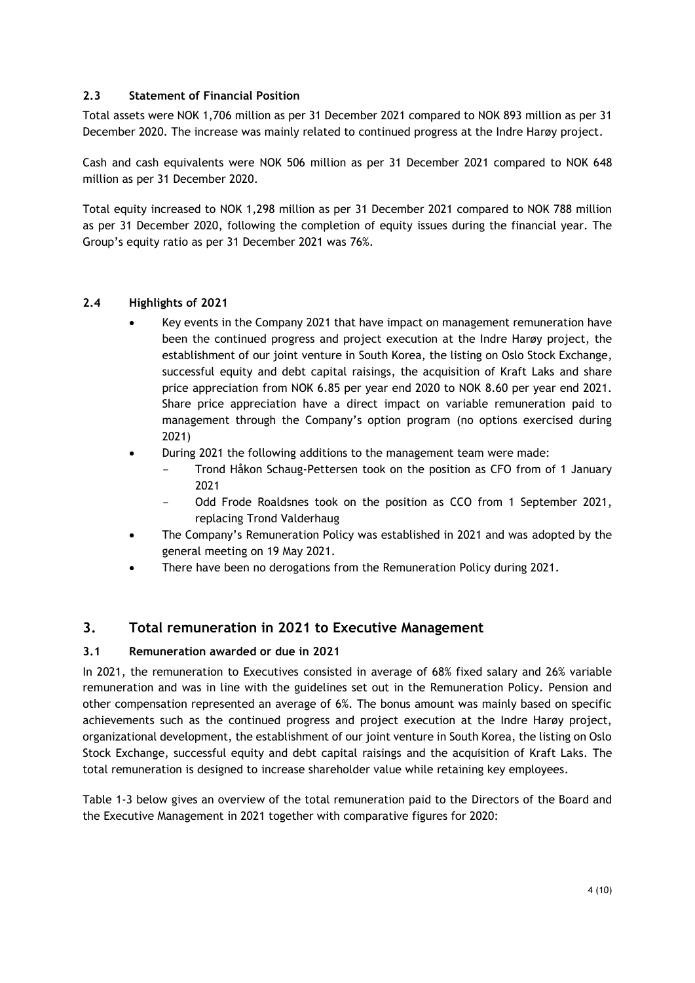#### **2.3 Statement of Financial Position**

Total assets were NOK 1,706 million as per 31 December 2021 compared to NOK 893 million as per 31 December 2020. The increase was mainly related to continued progress at the Indre Harøy project.

Cash and cash equivalents were NOK 506 million as per 31 December 2021 compared to NOK 648 million as per 31 December 2020.

Total equity increased to NOK 1,298 million as per 31 December 2021 compared to NOK 788 million as per 31 December 2020, following the completion of equity issues during the financial year. The Group's equity ratio as per 31 December 2021 was 76%.

#### **2.4 Highlights of 2021**

- Key events in the Company 2021 that have impact on management remuneration have been the continued progress and project execution at the Indre Harøy project, the establishment of our joint venture in South Korea, the listing on Oslo Stock Exchange, successful equity and debt capital raisings, the acquisition of Kraft Laks and share price appreciation from NOK 6.85 per year end 2020 to NOK 8.60 per year end 2021. Share price appreciation have a direct impact on variable remuneration paid to management through the Company's option program (no options exercised during 2021)
- During 2021 the following additions to the management team were made:
	- Trond Håkon Schaug-Pettersen took on the position as CFO from of 1 January 2021
	- Odd Frode Roaldsnes took on the position as CCO from 1 September 2021, replacing Trond Valderhaug
- The Company's Remuneration Policy was established in 2021 and was adopted by the general meeting on 19 May 2021.
- There have been no derogations from the Remuneration Policy during 2021.

# **3. Total remuneration in 2021 to Executive Management**

#### **3.1 Remuneration awarded or due in 2021**

In 2021, the remuneration to Executives consisted in average of 68% fixed salary and 26% variable remuneration and was in line with the guidelines set out in the Remuneration Policy. Pension and other compensation represented an average of 6%. The bonus amount was mainly based on specific achievements such as the continued progress and project execution at the Indre Harøy project, organizational development, the establishment of our joint venture in South Korea, the listing on Oslo Stock Exchange, successful equity and debt capital raisings and the acquisition of Kraft Laks. The total remuneration is designed to increase shareholder value while retaining key employees.

Table 1-3 below gives an overview of the total remuneration paid to the Directors of the Board and the Executive Management in 2021 together with comparative figures for 2020: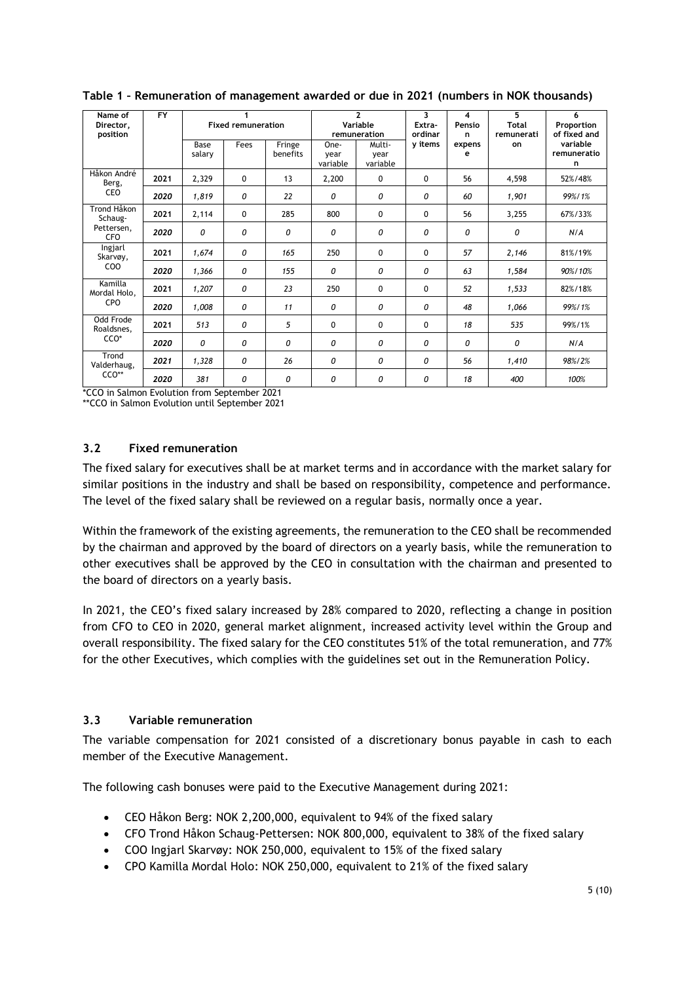| Name of<br>Director.<br>position                                         | <b>FY</b> | <b>Fixed remuneration</b> |      |                    |                          | $\overline{2}$<br>Variable<br>remuneration | 3<br>Extra-<br>ordinar | 4<br>Pensio<br>n. | 5<br><b>Total</b><br>remunerati | 6<br>Proportion<br>of fixed and |
|--------------------------------------------------------------------------|-----------|---------------------------|------|--------------------|--------------------------|--------------------------------------------|------------------------|-------------------|---------------------------------|---------------------------------|
|                                                                          |           | Base<br>salary            | Fees | Fringe<br>benefits | One-<br>year<br>variable | Multi-<br>year<br>variable                 | y items                | expens<br>е       | on                              | variable<br>remuneratio<br>n    |
| Håkon André<br>Berg,                                                     | 2021      | 2,329                     | 0    | 13                 | 2,200                    | $\Omega$                                   | 0                      | 56                | 4,598                           | 52%/48%                         |
| CEO                                                                      | 2020      | 1,819                     | 0    | 22                 | 0                        | 0                                          | 0                      | 60                | 1,901                           | 99%/1%                          |
| Trond Håkon<br>Schaug-<br>Pettersen.<br>CFO                              | 2021      | 2,114                     | 0    | 285                | 800                      | 0                                          | 0                      | 56                | 3,255                           | 67%/33%                         |
|                                                                          | 2020      | 0                         | 0    | 0                  | 0                        | 0                                          | 0                      | 0                 | 0                               | N/A                             |
| Ingjarl<br>Skarvøy,<br>CO <sub>O</sub><br>Kamilla<br>Mordal Holo,<br>CPO | 2021      | 1,674                     | 0    | 165                | 250                      | 0                                          | 0                      | 57                | 2,146                           | 81%/19%                         |
|                                                                          | 2020      | 1,366                     | 0    | 155                | 0                        | 0                                          | 0                      | 63                | 1,584                           | 90%/10%                         |
|                                                                          | 2021      | 1,207                     | 0    | 23                 | 250                      | 0                                          | 0                      | 52                | 1,533                           | 82%/18%                         |
|                                                                          | 2020      | 1,008                     | 0    | 11                 | 0                        | 0                                          | 0                      | 48                | 1,066                           | 99%/1%                          |
| Odd Frode<br>Roaldsnes,<br>CCO <sup>*</sup>                              | 2021      | 513                       | 0    | 5                  | $\Omega$                 | 0                                          | 0                      | 18                | 535                             | 99%/1%                          |
|                                                                          | 2020      | 0                         | 0    | $\Omega$           | 0                        | 0                                          | $\Omega$               | $\Omega$          | 0                               | N/A                             |
| Trond<br>Valderhaug,                                                     | 2021      | 1,328                     | 0    | 26                 | 0                        | 0                                          | 0                      | 56                | 1,410                           | 98%/2%                          |
| CCO**                                                                    | 2020      | 381                       | 0    | 0                  | 0                        | 0                                          | 0                      | 18                | 400                             | 100%                            |

**Table 1 – Remuneration of management awarded or due in 2021 (numbers in NOK thousands)** 

\*CCO in Salmon Evolution from September 2021

\*\*CCO in Salmon Evolution until September 2021

## **3.2 Fixed remuneration**

The fixed salary for executives shall be at market terms and in accordance with the market salary for similar positions in the industry and shall be based on responsibility, competence and performance. The level of the fixed salary shall be reviewed on a regular basis, normally once a year.

Within the framework of the existing agreements, the remuneration to the CEO shall be recommended by the chairman and approved by the board of directors on a yearly basis, while the remuneration to other executives shall be approved by the CEO in consultation with the chairman and presented to the board of directors on a yearly basis.

In 2021, the CEO's fixed salary increased by 28% compared to 2020, reflecting a change in position from CFO to CEO in 2020, general market alignment, increased activity level within the Group and overall responsibility. The fixed salary for the CEO constitutes 51% of the total remuneration, and 77% for the other Executives, which complies with the guidelines set out in the Remuneration Policy.

#### **3.3 Variable remuneration**

The variable compensation for 2021 consisted of a discretionary bonus payable in cash to each member of the Executive Management.

The following cash bonuses were paid to the Executive Management during 2021:

- CEO Håkon Berg: NOK 2,200,000, equivalent to 94% of the fixed salary
- CFO Trond Håkon Schaug-Pettersen: NOK 800,000, equivalent to 38% of the fixed salary
- COO Ingjarl Skarvøy: NOK 250,000, equivalent to 15% of the fixed salary
- CPO Kamilla Mordal Holo: NOK 250,000, equivalent to 21% of the fixed salary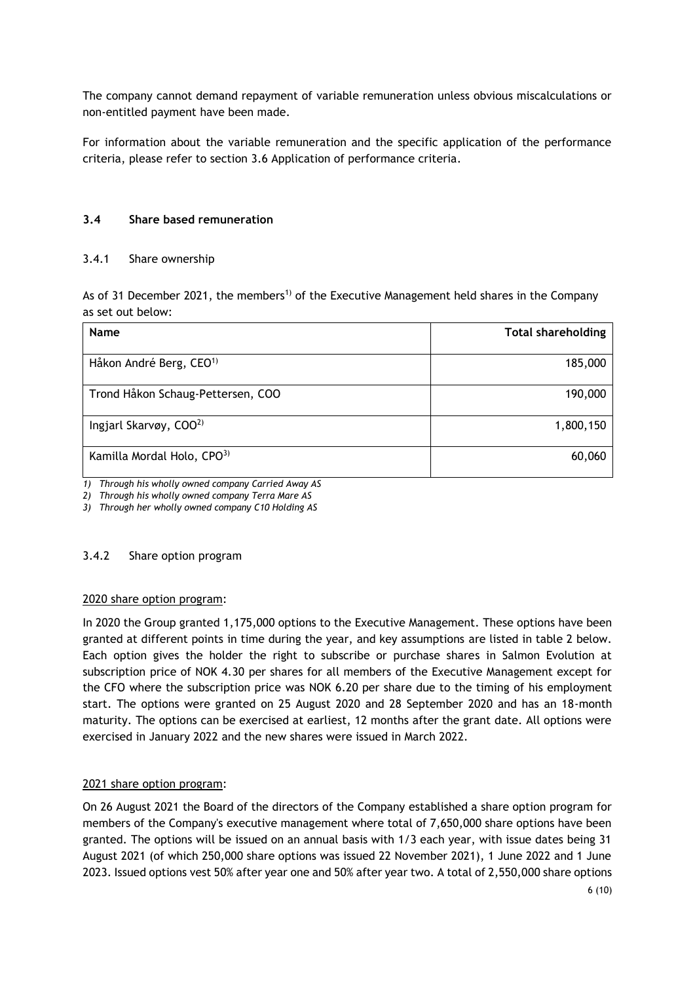The company cannot demand repayment of variable remuneration unless obvious miscalculations or non-entitled payment have been made.

For information about the variable remuneration and the specific application of the performance criteria, please refer to section [3.6](#page-7-0) [Application of performance criteria.](#page-7-0)

#### **3.4 Share based remuneration**

#### 3.4.1 Share ownership

As of 31 December 2021, the members<sup>1)</sup> of the Executive Management held shares in the Company as set out below:

| <b>Name</b>                         | <b>Total shareholding</b> |
|-------------------------------------|---------------------------|
| Håkon André Berg, CEO <sup>1)</sup> | 185,000                   |
| Trond Håkon Schaug-Pettersen, COO   | 190,000                   |
| Ingjarl Skarvøy, COO <sup>2)</sup>  | 1,800,150                 |
| Kamilla Mordal Holo, CPO3)          | 60,060                    |

*1) Through his wholly owned company Carried Away AS*

*2) Through his wholly owned company Terra Mare AS*

*3) Through her wholly owned company C10 Holding AS*

#### 3.4.2 Share option program

#### 2020 share option program:

In 2020 the Group granted 1,175,000 options to the Executive Management. These options have been granted at different points in time during the year, and key assumptions are listed in table 2 below. Each option gives the holder the right to subscribe or purchase shares in Salmon Evolution at subscription price of NOK 4.30 per shares for all members of the Executive Management except for the CFO where the subscription price was NOK 6.20 per share due to the timing of his employment start. The options were granted on 25 August 2020 and 28 September 2020 and has an 18-month maturity. The options can be exercised at earliest, 12 months after the grant date. All options were exercised in January 2022 and the new shares were issued in March 2022.

## 2021 share option program:

On 26 August 2021 the Board of the directors of the Company established a share option program for members of the Company's executive management where total of 7,650,000 share options have been granted. The options will be issued on an annual basis with 1/3 each year, with issue dates being 31 August 2021 (of which 250,000 share options was issued 22 November 2021), 1 June 2022 and 1 June 2023. Issued options vest 50% after year one and 50% after year two. A total of 2,550,000 share options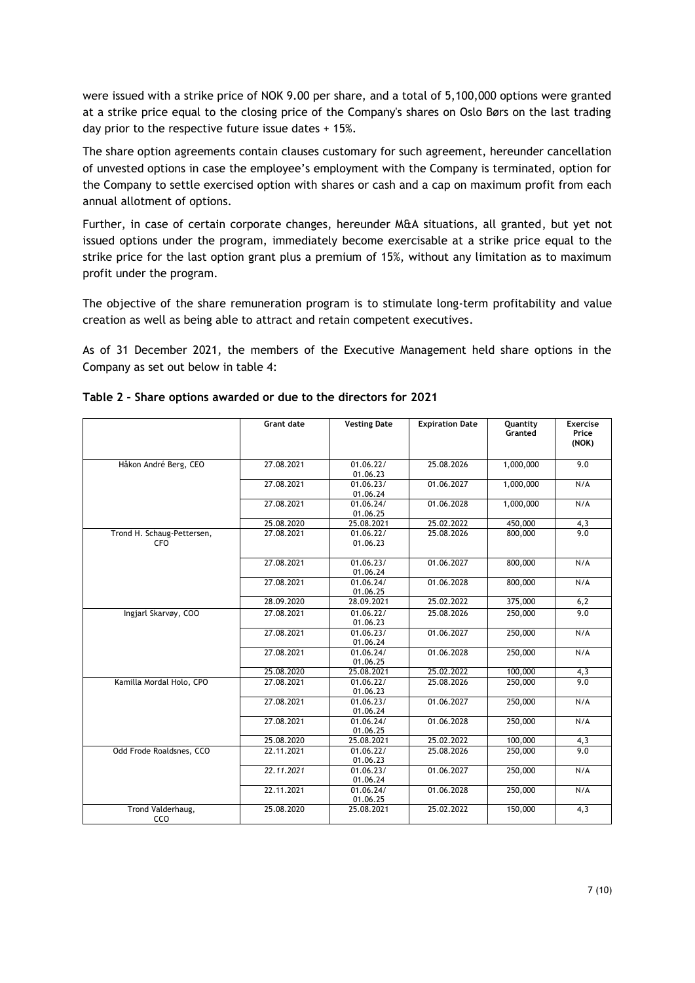were issued with a strike price of NOK 9.00 per share, and a total of 5,100,000 options were granted at a strike price equal to the closing price of the Company's shares on Oslo Børs on the last trading day prior to the respective future issue dates + 15%.

The share option agreements contain clauses customary for such agreement, hereunder cancellation of unvested options in case the employee's employment with the Company is terminated, option for the Company to settle exercised option with shares or cash and a cap on maximum profit from each annual allotment of options.

Further, in case of certain corporate changes, hereunder M&A situations, all granted, but yet not issued options under the program, immediately become exercisable at a strike price equal to the strike price for the last option grant plus a premium of 15%, without any limitation as to maximum profit under the program.

The objective of the share remuneration program is to stimulate long-term profitability and value creation as well as being able to attract and retain competent executives.

As of 31 December 2021, the members of the Executive Management held share options in the Company as set out below in table 4:

|                                          | <b>Grant date</b> | <b>Vesting Date</b>   | <b>Expiration Date</b> | Quantity<br>Granted | <b>Exercise</b><br>Price<br>(NOK) |
|------------------------------------------|-------------------|-----------------------|------------------------|---------------------|-----------------------------------|
| Håkon André Berg, CEO                    | 27.08.2021        | 01.06.22/<br>01.06.23 | 25.08.2026             | 1,000,000           | 9.0                               |
|                                          | 27.08.2021        | 01.06.23/<br>01.06.24 | 01.06.2027             | 1,000,000           | N/A                               |
|                                          | 27.08.2021        | 01.06.24/<br>01.06.25 | 01.06.2028             | 1,000,000           | N/A                               |
|                                          | 25.08.2020        | 25.08.2021            | 25.02.2022             | 450,000             | 4,3                               |
| Trond H. Schaug-Pettersen,<br><b>CFO</b> | 27.08.2021        | 01.06.22/<br>01.06.23 | 25.08.2026             | 800,000             | 9.0                               |
|                                          | 27.08.2021        | 01.06.23/<br>01.06.24 | 01.06.2027             | 800,000             | N/A                               |
|                                          | 27.08.2021        | 01.06.24/<br>01.06.25 | 01.06.2028             | 800,000             | N/A                               |
|                                          | 28.09.2020        | 28.09.2021            | 25.02.2022             | 375,000             | 6,2                               |
| Ingjarl Skarvøy, COO                     | 27.08.2021        | 01.06.22/<br>01.06.23 | 25.08.2026             | 250,000             | 9.0                               |
|                                          | 27.08.2021        | 01.06.23/<br>01.06.24 | 01.06.2027             | 250,000             | N/A                               |
|                                          | 27.08.2021        | 01.06.24/<br>01.06.25 | 01.06.2028             | 250,000             | N/A                               |
|                                          | 25.08.2020        | 25.08.2021            | 25.02.2022             | 100,000             | 4,3                               |
| Kamilla Mordal Holo, CPO                 | 27.08.2021        | 01.06.22/<br>01.06.23 | 25.08.2026             | 250,000             | 9.0                               |
|                                          | 27.08.2021        | 01.06.23/<br>01.06.24 | 01.06.2027             | 250,000             | N/A                               |
|                                          | 27.08.2021        | 01.06.24/<br>01.06.25 | 01.06.2028             | 250,000             | N/A                               |
|                                          | 25.08.2020        | 25.08.2021            | 25.02.2022             | 100,000             | 4,3                               |
| Odd Frode Roaldsnes, CCO                 | 22.11.2021        | 01.06.22/<br>01.06.23 | 25.08.2026             | 250,000             | 9.0                               |
|                                          | 22.11.2021        | 01.06.23/<br>01.06.24 | 01.06.2027             | 250,000             | N/A                               |
|                                          | 22.11.2021        | 01.06.24/<br>01.06.25 | 01.06.2028             | 250,000             | N/A                               |
| Trond Valderhaug,<br>CCO                 | 25.08.2020        | 25.08.2021            | 25.02.2022             | 150,000             | 4,3                               |

|  | Table 2 - Share options awarded or due to the directors for 2021 |  |  |  |  |
|--|------------------------------------------------------------------|--|--|--|--|
|--|------------------------------------------------------------------|--|--|--|--|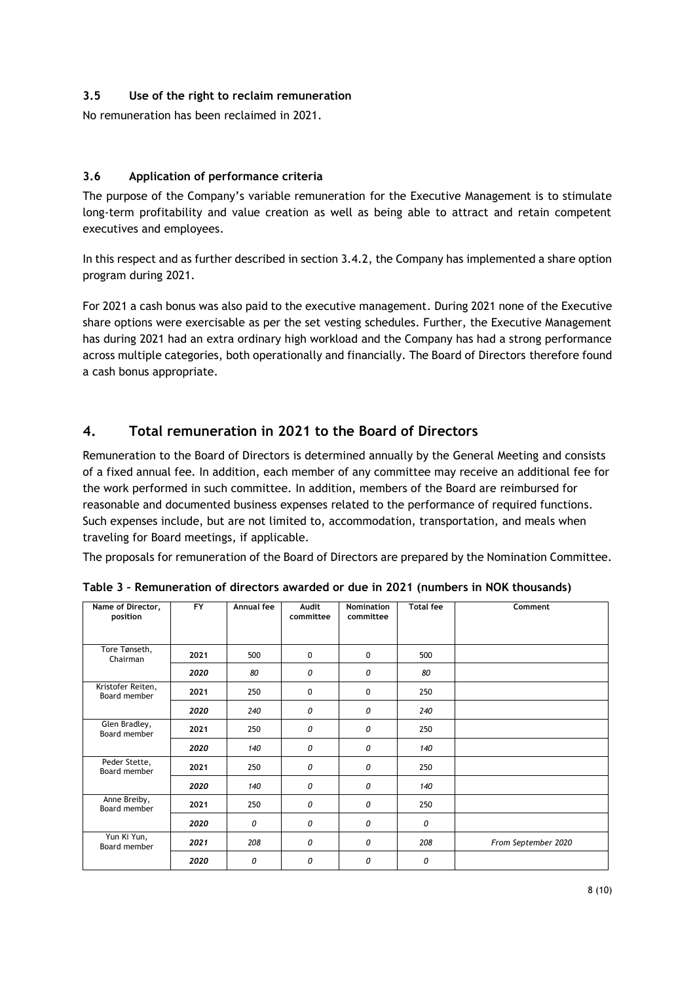# **3.5 Use of the right to reclaim remuneration**

No remuneration has been reclaimed in 2021.

## <span id="page-7-0"></span>**3.6 Application of performance criteria**

The purpose of the Company's variable remuneration for the Executive Management is to stimulate long-term profitability and value creation as well as being able to attract and retain competent executives and employees.

In this respect and as further described in section 3.4.2, the Company has implemented a share option program during 2021.

For 2021 a cash bonus was also paid to the executive management. During 2021 none of the Executive share options were exercisable as per the set vesting schedules. Further, the Executive Management has during 2021 had an extra ordinary high workload and the Company has had a strong performance across multiple categories, both operationally and financially. The Board of Directors therefore found a cash bonus appropriate.

# **4. Total remuneration in 2021 to the Board of Directors**

Remuneration to the Board of Directors is determined annually by the General Meeting and consists of a fixed annual fee. In addition, each member of any committee may receive an additional fee for the work performed in such committee. In addition, members of the Board are reimbursed for reasonable and documented business expenses related to the performance of required functions. Such expenses include, but are not limited to, accommodation, transportation, and meals when traveling for Board meetings, if applicable.

The proposals for remuneration of the Board of Directors are prepared by the Nomination Committee.

| Name of Director,                 | <b>FY</b> | Annual fee | Audit        | <b>Nomination</b> | <b>Total fee</b> | Comment             |
|-----------------------------------|-----------|------------|--------------|-------------------|------------------|---------------------|
| position                          |           |            | committee    | committee         |                  |                     |
|                                   |           |            |              |                   |                  |                     |
|                                   |           |            |              |                   |                  |                     |
|                                   |           |            |              |                   |                  |                     |
| Tore Tønseth,<br>Chairman         | 2021      | 500        | 0            | 0                 | 500              |                     |
|                                   | 2020      | 80         | 0            | 0                 | 80               |                     |
| Kristofer Reiten,<br>Board member | 2021      | 250        | $\mathbf{0}$ | 0                 | 250              |                     |
|                                   | 2020      | 240        | 0            | 0                 | 240              |                     |
| Glen Bradley,<br>Board member     | 2021      | 250        | 0            | 0                 | 250              |                     |
|                                   | 2020      | 140        | 0            | 0                 | 140              |                     |
| Peder Stette,<br>Board member     | 2021      | 250        | 0            | 0                 | 250              |                     |
|                                   | 2020      | 140        | 0            | 0                 | 140              |                     |
| Anne Breiby,<br>Board member      | 2021      | 250        | 0            | 0                 | 250              |                     |
|                                   | 2020      | 0          | 0            | 0                 | 0                |                     |
| Yun Ki Yun,<br>Board member       | 2021      | 208        | 0            | 0                 | 208              | From September 2020 |
|                                   | 2020      | 0          | 0            | 0                 | 0                |                     |

**Table 3 – Remuneration of directors awarded or due in 2021 (numbers in NOK thousands)**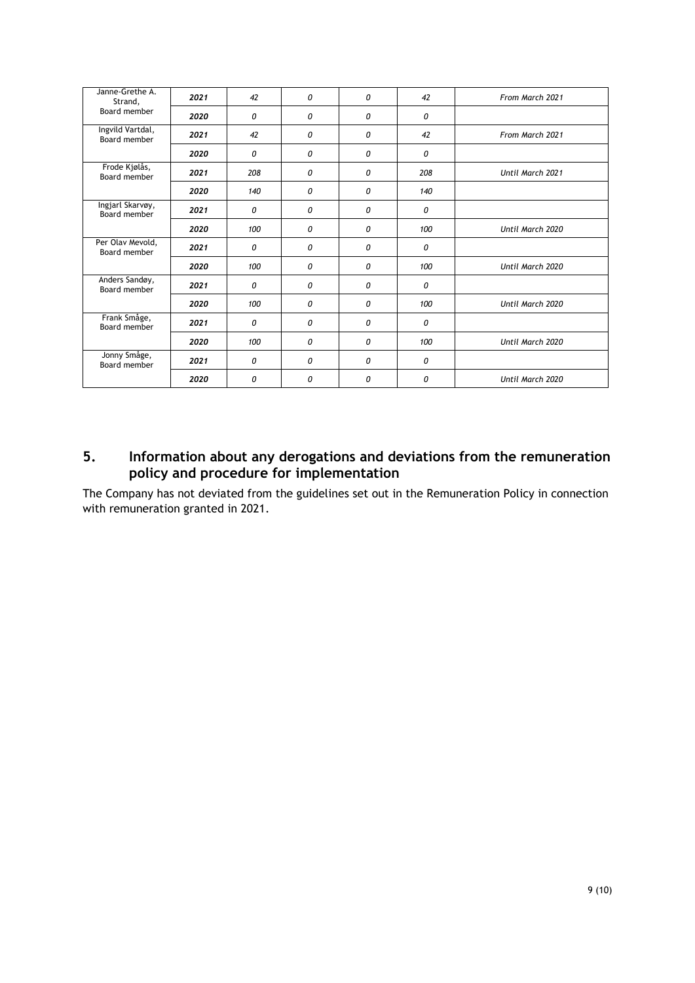| Janne-Grethe A.<br>Strand,       | 2021 | 42  | 0 | 0 | 42  | From March 2021  |
|----------------------------------|------|-----|---|---|-----|------------------|
| Board member                     | 2020 | 0   | 0 | 0 | 0   |                  |
| Ingvild Vartdal,<br>Board member | 2021 | 42  | 0 | 0 | 42  | From March 2021  |
|                                  | 2020 | 0   | 0 | 0 | 0   |                  |
| Frode Kjølås,<br>Board member    | 2021 | 208 | 0 | 0 | 208 | Until March 2021 |
|                                  | 2020 | 140 | 0 | 0 | 140 |                  |
| Ingjarl Skarvøy,<br>Board member | 2021 | 0   | 0 | 0 | 0   |                  |
|                                  | 2020 | 100 | 0 | 0 | 100 | Until March 2020 |
| Per Olav Mevold,<br>Board member | 2021 | 0   | 0 | 0 | 0   |                  |
|                                  | 2020 | 100 | 0 | 0 | 100 | Until March 2020 |
| Anders Sandøy,<br>Board member   | 2021 | 0   | 0 | 0 | 0   |                  |
|                                  | 2020 | 100 | 0 | 0 | 100 | Until March 2020 |
| Frank Småge,<br>Board member     | 2021 | 0   | 0 | 0 | 0   |                  |
|                                  | 2020 | 100 | 0 | 0 | 100 | Until March 2020 |
| Jonny Småge,<br>Board member     | 2021 | 0   | 0 | 0 | 0   |                  |
|                                  | 2020 | 0   | 0 | 0 | 0   | Until March 2020 |

# **5. Information about any derogations and deviations from the remuneration policy and procedure for implementation**

The Company has not deviated from the guidelines set out in the Remuneration Policy in connection with remuneration granted in 2021.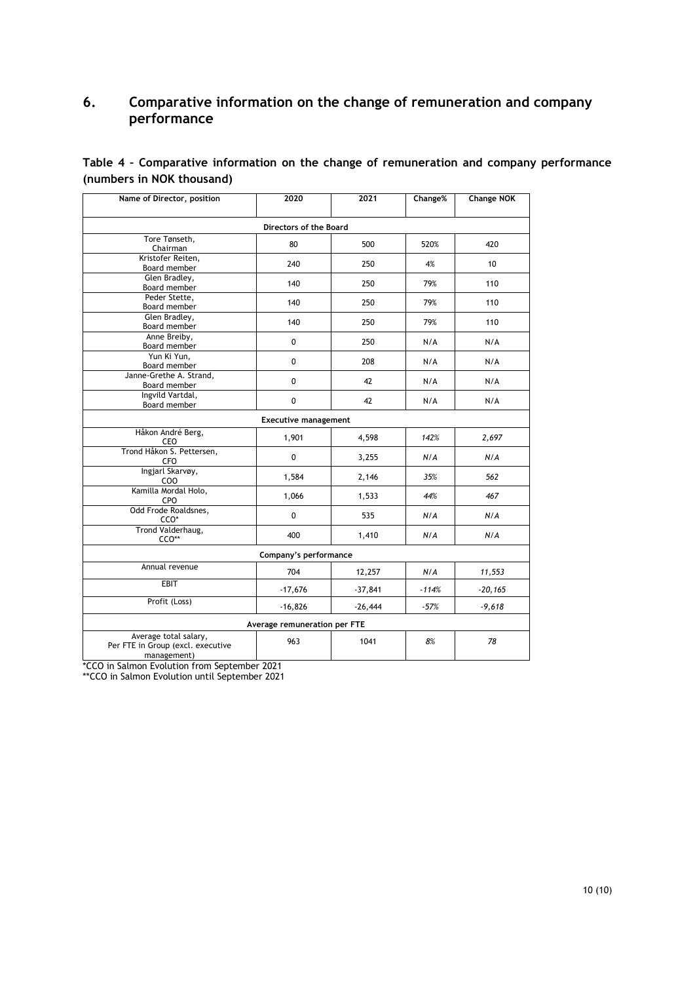# **6. Comparative information on the change of remuneration and company performance**

| Table 4 - Comparative information on the change of remuneration and company performance |  |  |  |  |  |
|-----------------------------------------------------------------------------------------|--|--|--|--|--|
| (numbers in NOK thousand)                                                               |  |  |  |  |  |

| Name of Director, position                                                | 2020      | 2021      | Change% | <b>Change NOK</b> |  |  |  |  |  |
|---------------------------------------------------------------------------|-----------|-----------|---------|-------------------|--|--|--|--|--|
| <b>Directors of the Board</b>                                             |           |           |         |                   |  |  |  |  |  |
| Tore Tønseth,<br>Chairman                                                 | 80        | 500       | 520%    | 420               |  |  |  |  |  |
| Kristofer Reiten,<br>Board member                                         | 240       | 250       | 4%      | 10                |  |  |  |  |  |
| Glen Bradley,<br>Board member                                             | 140       | 250       | 79%     | 110               |  |  |  |  |  |
| Peder Stette.<br>Board member                                             | 140       | 250       | 79%     | 110               |  |  |  |  |  |
| Glen Bradley,<br>Board member                                             | 140       | 250       | 79%     | 110               |  |  |  |  |  |
| Anne Breiby,<br>Board member                                              | 0         | 250       | N/A     | N/A               |  |  |  |  |  |
| Yun Ki Yun,<br>Board member                                               | 0         | 208       | N/A     | N/A               |  |  |  |  |  |
| Janne-Grethe A. Strand,<br>Board member                                   | 0         | 42        | N/A     | N/A               |  |  |  |  |  |
| Ingvild Vartdal,<br>Board member                                          | 0         | 42        | N/A     | N/A               |  |  |  |  |  |
| <b>Executive management</b>                                               |           |           |         |                   |  |  |  |  |  |
| Håkon André Berg,<br>CEO                                                  | 1,901     | 4,598     | 142%    | 2,697             |  |  |  |  |  |
| Trond Håkon S. Pettersen,<br><b>CFO</b>                                   | 0         | 3,255     | N/A     | N/A               |  |  |  |  |  |
| Ingjarl Skarvøy,<br>COO                                                   | 1,584     | 2,146     | 35%     | 562               |  |  |  |  |  |
| Kamilla Mordal Holo,<br>CPO                                               | 1,066     | 1,533     | 44%     | 467               |  |  |  |  |  |
| Odd Frode Roaldsnes,<br>CCO*                                              | 0         | 535       | N/A     | N/A               |  |  |  |  |  |
| Trond Valderhaug,<br>CCO**                                                | 400       | 1,410     | N/A     | N/A               |  |  |  |  |  |
| Company's performance                                                     |           |           |         |                   |  |  |  |  |  |
| Annual revenue                                                            | 704       | 12,257    | N/A     | 11,553            |  |  |  |  |  |
| EBIT                                                                      | $-17,676$ | $-37,841$ | $-114%$ | $-20, 165$        |  |  |  |  |  |
| Profit (Loss)                                                             | $-16,826$ | $-26,444$ | $-57%$  | $-9,618$          |  |  |  |  |  |
| Average remuneration per FTE                                              |           |           |         |                   |  |  |  |  |  |
| Average total salary,<br>Per FTE in Group (excl. executive<br>management) | 963       | 1041      | 8%      | 78                |  |  |  |  |  |

\*CCO in Salmon Evolution from September 2021

\*\*CCO in Salmon Evolution until September 2021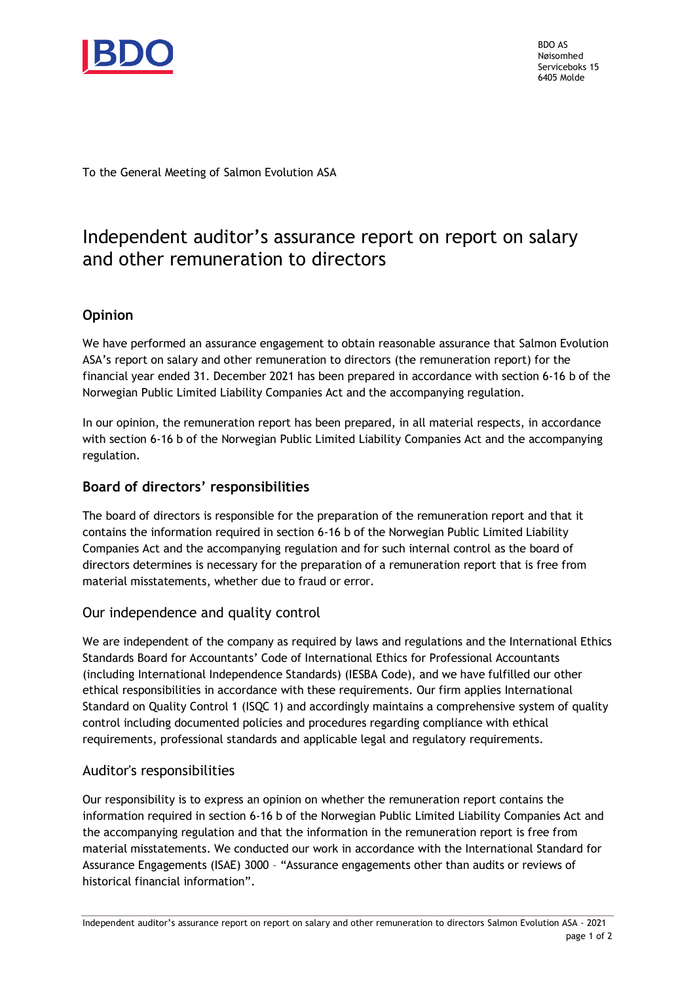

BDO AS Nøisomhed Serviceboks 15 6405 Molde

To the General Meeting of Salmon Evolution ASA

# Independent auditor's assurance report on report on salary and other remuneration to directors

# **Opinion**

We have performed an assurance engagement to obtain reasonable assurance that Salmon Evolution ASA's report on salary and other remuneration to directors (the remuneration report) for the financial year ended 31. December 2021 has been prepared in accordance with section 6-16 b of the Norwegian Public Limited Liability Companies Act and the accompanying regulation.

In our opinion, the remuneration report has been prepared, in all material respects, in accordance with section 6-16 b of the Norwegian Public Limited Liability Companies Act and the accompanying regulation.

# **Board of directors' responsibilities**

The board of directors is responsible for the preparation of the remuneration report and that it contains the information required in section 6-16 b of the Norwegian Public Limited Liability Companies Act and the accompanying regulation and for such internal control as the board of directors determines is necessary for the preparation of a remuneration report that is free from material misstatements, whether due to fraud or error.

# Our independence and quality control

We are independent of the company as required by laws and regulations and the International Ethics Standards Board for Accountants' Code of International Ethics for Professional Accountants (including International Independence Standards) (IESBA Code), and we have fulfilled our other ethical responsibilities in accordance with these requirements. Our firm applies International Standard on Quality Control 1 (ISQC 1) and accordingly maintains a comprehensive system of quality control including documented policies and procedures regarding compliance with ethical requirements, professional standards and applicable legal and regulatory requirements.

# Auditor's responsibilities

Our responsibility is to express an opinion on whether the remuneration report contains the information required in section 6-16 b of the Norwegian Public Limited Liability Companies Act and the accompanying regulation and that the information in the remuneration report is free from material misstatements. We conducted our work in accordance with the International Standard for Assurance Engagements (ISAE) 3000 – "Assurance engagements other than audits or reviews of historical financial information".